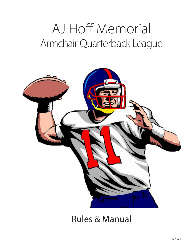# AJ Hoff Memorial Armchair Quarterback League



Rules & Manual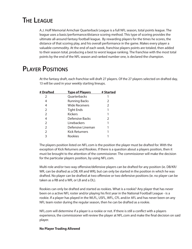# **The League**

A.J. Hoff Memorial Armchair Quarterback League is a full NFL season, total points league. The league uses a basic/performance/distance scoring method. This type of scoring provides the ultimate all-around fantasy football league. By rewarding players for the times he scores, the distance of that scoring play, and his overall performance in the game. Makes every player a valuable commodity. At the end of each week, franchise players points are totaled, then added to their season total, producing a best to worst league ranking. The franchise with the most total points by the end of the NFL season and ranked number one, is declared the champion.

# **Player Positions**

At the fantasy draft, each franchise will draft 27 players. Of the 27 players selected on drafted day, 13 will be used in your weekly starting lineups.

|                       | # Started              |
|-----------------------|------------------------|
| Quarterbacks          |                        |
| <b>Running Backs</b>  | 2                      |
| <b>Wide Receivers</b> | $\mathcal{P}$          |
| <b>Tight Ends</b>     |                        |
| <b>Kickers</b>        |                        |
| Defensive Backs       | 2                      |
| Linebackers           |                        |
| Defensive Lineman     |                        |
| <b>Kick Returners</b> |                        |
| Rookies               |                        |
|                       | <b>Type of Players</b> |

The players position listed on NFL.com is the position the player must be drafted for. With the exception of Kick Returners and Rookies. If there is a question about a players position, then it must be brought to the attention of the commissioner. The commissioner will make the decision for the particular players position, by using NFL.com.

Multi-role and/or two-way offensive/defensive players can be drafted for any position (ie. DB/KR/ WR, can be drafted as a DB, KR and WR), but can only be started in the position in which he was drafted. No player can be drafted at two offensive or two defensive positions (ie. no player can be taken as a RB and a WR, or LB and a DL).

Rookies can only be drafted and started as rookies. What is a rookie? Any player that has never been on a active NFL roster and/or playing his first year in the National Football League - is a rookie. If a player has played in the WLFL, USFL, WFL, CFL and/or AFL and has never been on any NFL team roster during the regular season, then he can be drafted as a rookie.

NFL.com will determine if a player is a rookie or not. If there is still a conflict with a players experience, the commissioner will review the player at NFL.com and make the final decision on said player.

#### **No Player Trading Allowed**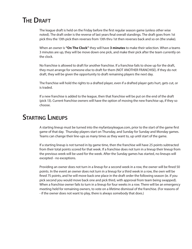### **THE DRAFT**

The league draft is held on the Friday before the first regular season game (unless other wise noted). The draft order is the reverse of last years final overall standings. The draft goes from 1st pick thru the 13th pick then reverses from 13th thru 1st then reverses back and so on (the snake).

When an owner is **"On The Clock"** they will have **3 minutes** to make their selection. When a teams 3 minutes are up, they will be move down one pick, and make their pick after the team currently on the clock.

No franchise is allowed to draft for another franchise. If a franchise fails to show up for the draft, they must arrange for someone else to draft for them (NOT ANOTHER FRANCHISE). If they do not draft, they will be given the opportunity to draft remaining players the next day.

The franchise will hold the rights to a drafted player, even if a drafted player gets hurt, gets cut, or is traded.

If a new franchise is added to the league, then that franchise will be put on the end of the draft (pick 13). Current franchise owners will have the option of moving the new franchise up, if they so choose.

### **Starting Lineups**

A starting lineup must be turned into the myfantasyleague.com, prior to the start of the game first game of that day. Thursday players start on Thursday, and Sunday for Sunday and Monday games. Teams can change their line-ups as many times as they want to, up until start of the game.

If a starting lineup is not turned in by game time, then the franchise will have 25 points subtracted from their total points scored for that week. If a franchise does not turn in a lineup their lineup from the previous week will be used for the week. After the Sunday games has started, no lineups will excepted - no exceptions.

Providing an owner does not turn in a lineup for a second week in a row, the owner will be fined 50 points. In the event an owner does not turn in a lineup for a third week in a row, the own will be fined 75 points, and he will move back one place in the draft order the following season (ie. if you pick second you would move back one and pick third, with approval from team being swapped). When a franchise owner fails to turn in a lineup for four weeks in a row. There will be an emergency meeting held for remaining owners, to vote on a lifetime dismissal of the franchise. (For reasons of - if the owner does not want to play, there is always somebody that does.)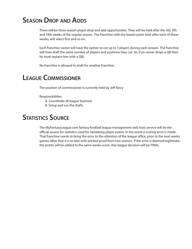# **Season Drop and Adds**

There will be three season player drop and add opportunities. They will be held after the 5th, 9th and 14th weeks of the regular season. The franchise with the lowest point total after each of these weeks, will select first and so on.

Each franchise owner will have the option to cut up to 3 players during each session. The franchise will then draft the same number of players and positions they cut. (ie. if an owner drops a QB then he must replace him with a QB).

No franchise is allowed to draft for another franchise.

# **League Commissioner**

The position of commissioner is currently held by Jeff Novy

#### Responsibilities:

A. Coordinate all league business

B. Setup and run the drafts

### **Statistics Source**

The MyFantasyLeague.com fantasy football league management web host service will be the official source for statistics used for tabulating player points. In the event a scoring error is made. That franchise needs to bring the error to the attention of the league office, prior to the next weeks games (after that it is to late) with printed proof from two sources. If the error is deemed legitimate, the points will be added to the same weeks score. Any league decision will be FINAL.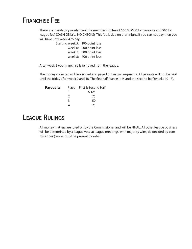### **Franchise Fee**

There is a mandatory yearly franchise membership fee of \$60.00 (\$50 for pay-outs and \$10 for league fee) (CASH ONLY ... NO CHECKS). This fee is due on draft night. If you can not pay then you will have until week 4 to pay.

> Starting week 5: 100 point loss week 6: 200 point loss week 7: 300 point loss week 8: 400 point loss

After week 8 your franchise is removed from the league.

The money collected will be divided and payed out in two segments. All payouts will not be paid until the friday after week 9 and 18. The first half (weeks 1-9) and the second half (weeks 10-18).

| <b>Payout is:</b> |               | Place First & Second Half |
|-------------------|---------------|---------------------------|
|                   |               | \$125                     |
|                   | $\mathcal{L}$ | 75                        |
|                   | २             | 50                        |
|                   |               | 25                        |

# **League Rulings**

All money matters are ruled on by the Commissioner and will be FINAL. All other league business will be determined by a league vote at league meetings, with majority wins, tie decided by commissioner (owner must be present to vote).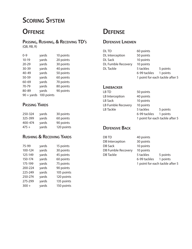# **Scoring System**

### **Offense**

#### **Passing, Rushing, & Receiving TD's** (QB, RB, R)

| $0 - 9$      | yards      | 10 points |
|--------------|------------|-----------|
| $10-19$      | yards      | 20 points |
| $20 - 29$    | yards      | 30 points |
| 30-39        | yards      | 40 points |
| 40-49        | yards      | 50 points |
| $50 - 59$    | yards      | 60 points |
| 60-69        | yards      | 70 points |
| 70-79        | yards      | 80 points |
| 80-89        | yards      | 90 points |
| $90 +$ yards | 100 points |           |
|              |            |           |

### **Passing Yards**

| 250-324 | yards | 30 points  |
|---------|-------|------------|
| 325-399 | yards | 60 points  |
| 400-474 | yards | 90 points  |
| $475 +$ | yards | 120 points |

### **Rushing & Receiving Yards**

| 75-99   | yards | 15 points  |
|---------|-------|------------|
| 100-124 | yards | 30 points  |
| 125-149 | yards | 45 points  |
| 150-174 | yards | 60 points  |
| 175-199 | yards | 75 points  |
| 200-224 | yards | 90 points  |
| 225-249 | yards | 105 points |
| 250-274 | yards | 120 points |
| 275-299 | yards | 135 points |
| $300 +$ | yards | 150 points |

# **Defense**

### **Defensive Linemen**

DL TD 60 points DL Interception 50 points DL Sack 10 points DL Fumble Recovery 10 points

DL Tackle 5 tackles 5 points 6-99 tackles 1 points 1 point for each tackle after 5

#### **Linebacker**

| LB TD              | 50 points    |                                 |
|--------------------|--------------|---------------------------------|
| LB Interception    | 40 points    |                                 |
| <b>LB Sack</b>     | 10 points    |                                 |
| LB Fumble Recovery | 10 points    |                                 |
| LB Tackle          | 5 tackles    | 5 points                        |
|                    | 6-99 tackles | 1 points                        |
|                    |              | 1 point for each tackle after 5 |

### **Defensive Back**

DB TD 40 points DB Interception 30 points DB Sack 10 points DB Fumble Recovery 10 points DB Tackle 5 tackles 5 points

6-99 tackles 1 points 1 point for each tackle after 5